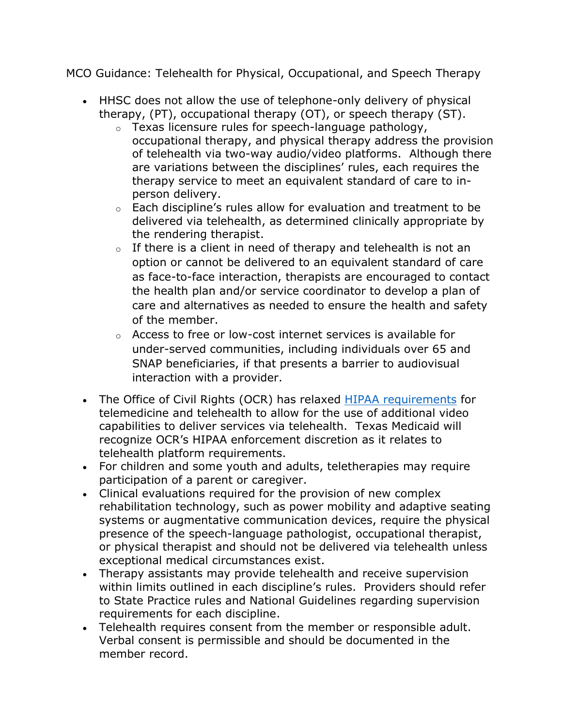MCO Guidance: Telehealth for Physical, Occupational, and Speech Therapy

- HHSC does not allow the use of telephone-only delivery of physical therapy, (PT), occupational therapy (OT), or speech therapy (ST).
	- o Texas licensure rules for speech-language pathology, occupational therapy, and physical therapy address the provision of telehealth via two-way audio/video platforms. Although there are variations between the disciplines' rules, each requires the therapy service to meet an equivalent standard of care to inperson delivery.
	- $\circ$  Each discipline's rules allow for evaluation and treatment to be delivered via telehealth, as determined clinically appropriate by the rendering therapist.
	- $\circ$  If there is a client in need of therapy and telehealth is not an option or cannot be delivered to an equivalent standard of care as face-to-face interaction, therapists are encouraged to contact the health plan and/or service coordinator to develop a plan of care and alternatives as needed to ensure the health and safety of the member.
	- o Access to free or low-cost internet services is available for under-served communities, including individuals over 65 and SNAP beneficiaries, if that presents a barrier to audiovisual interaction with a provider.
- The Office of Civil Rights (OCR) has relaxed [HIPAA requirements](https://www.hhs.gov/hipaa/for-professionals/special-topics/emergency-preparedness/notification-enforcement-discretion-telehealth/index.html) for telemedicine and telehealth to allow for the use of additional video capabilities to deliver services via telehealth. Texas Medicaid will recognize OCR's HIPAA enforcement discretion as it relates to telehealth platform requirements.
- For children and some youth and adults, teletherapies may require participation of a parent or caregiver.
- Clinical evaluations required for the provision of new complex rehabilitation technology, such as power mobility and adaptive seating systems or augmentative communication devices, require the physical presence of the speech-language pathologist, occupational therapist, or physical therapist and should not be delivered via telehealth unless exceptional medical circumstances exist.
- Therapy assistants may provide telehealth and receive supervision within limits outlined in each discipline's rules. Providers should refer to State Practice rules and National Guidelines regarding supervision requirements for each discipline.
- Telehealth requires consent from the member or responsible adult. Verbal consent is permissible and should be documented in the member record.